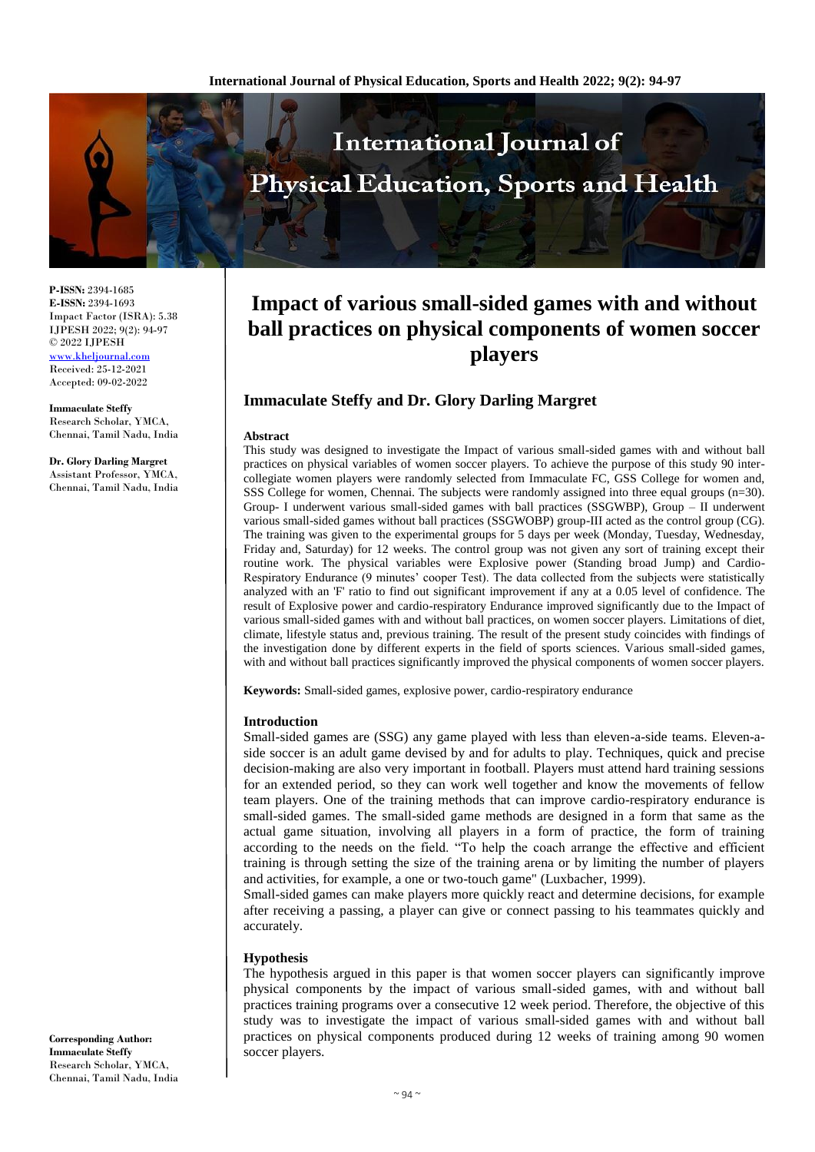

**P-ISSN:** 2394-1685 **E-ISSN:** 2394-1693 Impact Factor (ISRA): 5.38 IJPESH 2022; 9(2): 94-97 © 2022 IJPESH [www.kheljournal.com](http://www.kheljournal.com/) Received: 25-12-2021 Accepted: 09-02-2022

**Immaculate Steffy** Research Scholar, YMCA, Chennai, Tamil Nadu, India

**Dr. Glory Darling Margret** Assistant Professor, YMCA, Chennai, Tamil Nadu, India

#### **Corresponding Author: Immaculate Steffy** Research Scholar, YMCA, Chennai, Tamil Nadu, India

# **Impact of various small-sided games with and without ball practices on physical components of women soccer players**

# **Immaculate Steffy and Dr. Glory Darling Margret**

#### **Abstract**

This study was designed to investigate the Impact of various small-sided games with and without ball practices on physical variables of women soccer players. To achieve the purpose of this study 90 intercollegiate women players were randomly selected from Immaculate FC, GSS College for women and, SSS College for women, Chennai. The subjects were randomly assigned into three equal groups (n=30). Group- I underwent various small-sided games with ball practices (SSGWBP), Group – II underwent various small-sided games without ball practices (SSGWOBP) group-III acted as the control group (CG). The training was given to the experimental groups for 5 days per week (Monday, Tuesday, Wednesday, Friday and, Saturday) for 12 weeks. The control group was not given any sort of training except their routine work. The physical variables were Explosive power (Standing broad Jump) and Cardio-Respiratory Endurance (9 minutes' cooper Test). The data collected from the subjects were statistically analyzed with an 'F' ratio to find out significant improvement if any at a 0.05 level of confidence. The result of Explosive power and cardio-respiratory Endurance improved significantly due to the Impact of various small-sided games with and without ball practices, on women soccer players. Limitations of diet, climate, lifestyle status and, previous training. The result of the present study coincides with findings of the investigation done by different experts in the field of sports sciences. Various small-sided games, with and without ball practices significantly improved the physical components of women soccer players.

**Keywords:** Small-sided games, explosive power, cardio-respiratory endurance

#### **Introduction**

Small-sided games are (SSG) any game played with less than eleven-a-side teams. Eleven-aside soccer is an adult game devised by and for adults to play. Techniques, quick and precise decision-making are also very important in football. Players must attend hard training sessions for an extended period, so they can work well together and know the movements of fellow team players. One of the training methods that can improve cardio-respiratory endurance is small-sided games. The small-sided game methods are designed in a form that same as the actual game situation, involving all players in a form of practice, the form of training according to the needs on the field. "To help the coach arrange the effective and efficient training is through setting the size of the training arena or by limiting the number of players and activities, for example, a one or two-touch game" (Luxbacher, 1999).

Small-sided games can make players more quickly react and determine decisions, for example after receiving a passing, a player can give or connect passing to his teammates quickly and accurately.

#### **Hypothesis**

The hypothesis argued in this paper is that women soccer players can significantly improve physical components by the impact of various small-sided games, with and without ball practices training programs over a consecutive 12 week period. Therefore, the objective of this study was to investigate the impact of various small-sided games with and without ball practices on physical components produced during 12 weeks of training among 90 women soccer players.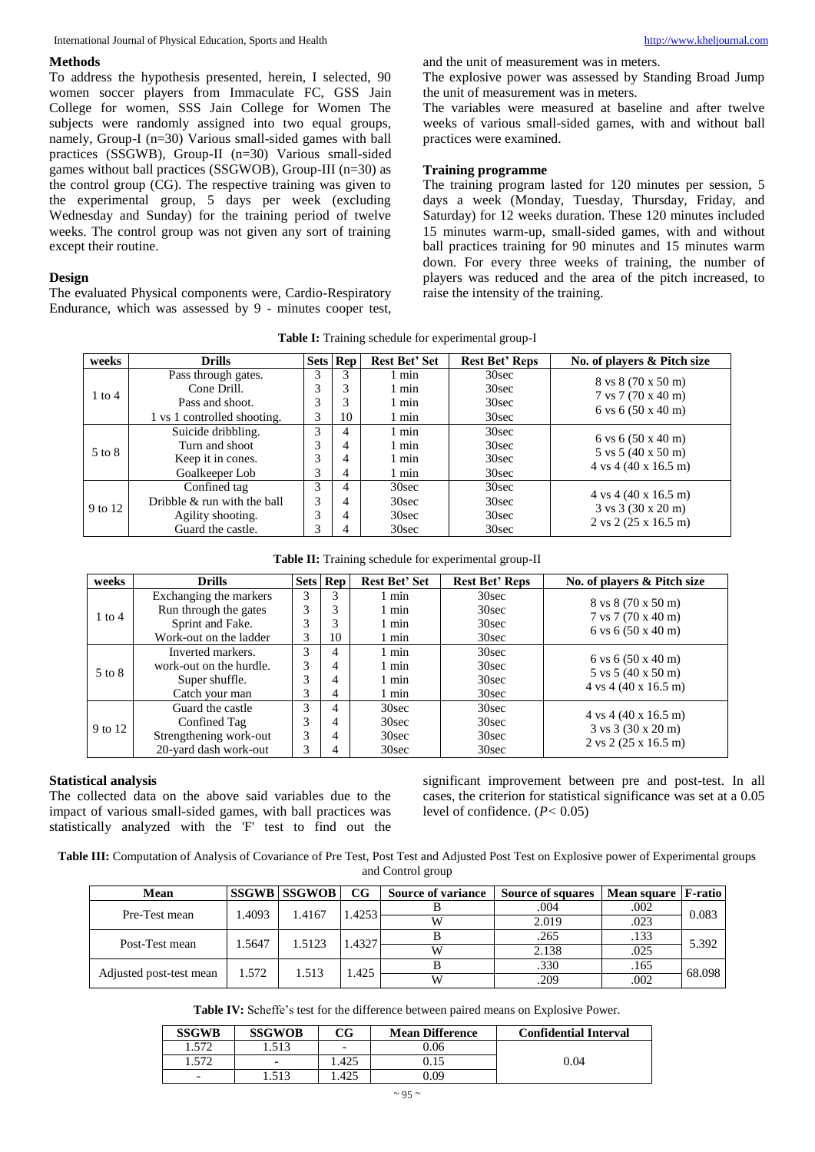#### **Methods**

To address the hypothesis presented, herein, I selected, 90 women soccer players from Immaculate FC, GSS Jain College for women, SSS Jain College for Women The subjects were randomly assigned into two equal groups, namely, Group-I (n=30) Various small-sided games with ball practices (SSGWB), Group-II (n=30) Various small-sided games without ball practices (SSGWOB), Group-III (n=30) as the control group (CG). The respective training was given to the experimental group, 5 days per week (excluding Wednesday and Sunday) for the training period of twelve weeks. The control group was not given any sort of training except their routine.

#### **Design**

The evaluated Physical components were, Cardio-Respiratory Endurance, which was assessed by 9 - minutes cooper test,

and the unit of measurement was in meters. The explosive power was assessed by Standing Broad Jump the unit of measurement was in meters.

The variables were measured at baseline and after twelve weeks of various small-sided games, with and without ball practices were examined.

### **Training programme**

The training program lasted for 120 minutes per session, 5 days a week (Monday, Tuesday, Thursday, Friday, and Saturday) for 12 weeks duration. These 120 minutes included 15 minutes warm-up, small-sided games, with and without ball practices training for 90 minutes and 15 minutes warm down. For every three weeks of training, the number of players was reduced and the area of the pitch increased, to raise the intensity of the training.

**Table I:** Training schedule for experimental group-I

| weeks      | <b>Drills</b>               |   | <b>Sets Rep</b> | <b>Rest Bet' Set</b> | <b>Rest Bet' Reps</b> | No. of players & Pitch size                                                        |
|------------|-----------------------------|---|-----------------|----------------------|-----------------------|------------------------------------------------------------------------------------|
|            | Pass through gates.         | 3 | 3               | 1 min                | 30sec                 | 8 vs 8 (70 x 50 m)                                                                 |
| $1$ to $4$ | Cone Drill.                 | 3 | 3               | $1$ min              | 30sec                 | 7 vs 7 (70 x 40 m)                                                                 |
|            | Pass and shoot.             | 3 | 3               | $1$ min              | 30sec                 | 6 vs $6(50 \times 40 \text{ m})$                                                   |
|            | 1 vs 1 controlled shooting. | 3 | 10              | $1$ min              | 30sec                 |                                                                                    |
|            | Suicide dribbling.          | 3 | 4               | $1$ min              | 30sec                 |                                                                                    |
| 5 to 8     | Turn and shoot              | 3 | 4               | 1 min                | 30sec                 | 6 vs $6(50 \times 40 \text{ m})$<br>$5 \text{ vs } 5 (40 \text{ x } 50 \text{ m})$ |
|            | Keep it in cones.           | 3 | $\overline{4}$  | $1$ min              | 30sec                 | $4 \text{ vs } 4 (40 \text{ x } 16.5 \text{ m})$                                   |
|            | Goalkeeper Lob              | 3 | 4               | 1 min                | 30sec                 |                                                                                    |
|            | Confined tag                | 3 | 4               | 30sec                | 30sec                 |                                                                                    |
| 9 to 12    | Dribble & run with the ball | 3 | $\overline{4}$  | 30sec                | 30sec                 | $4 \text{ vs } 4 (40 \text{ x } 16.5 \text{ m})$                                   |
|            | Agility shooting.           | 3 | $\overline{4}$  | 30sec                | 30sec                 | $3 \text{ vs } 3 (30 \text{ x } 20 \text{ m})$                                     |
|            | Guard the castle.           | 3 | 4               | 30sec                | 30sec                 | $2 \text{ vs } 2$ (25 x 16.5 m)                                                    |

**Table II:** Training schedule for experimental group-II

| weeks      | <b>Drills</b>           |   | <b>Sets</b> Rep | <b>Rest Bet' Set</b> | <b>Rest Bet' Reps</b> | No. of players & Pitch size                      |
|------------|-------------------------|---|-----------------|----------------------|-----------------------|--------------------------------------------------|
|            | Exchanging the markers  | 3 | 3               | min                  | 30sec                 | 8 vs 8 (70 x 50 m)                               |
| $1$ to $4$ | Run through the gates   | 3 | 3               | 1 min                | 30sec                 | $7 \text{ vs } 7(70 \text{ x } 40 \text{ m})$    |
|            | Sprint and Fake.        | 3 | 3               | 1 min                | 30sec                 | 6 vs $6(50 \times 40 \text{ m})$                 |
|            | Work-out on the ladder  | 3 | 10              | l min                | 30sec                 |                                                  |
| 5 to 8     | Inverted markers.       | 3 | 4               | 1 min                | 30sec                 | 6 vs $6(50 \times 40 \text{ m})$                 |
|            | work-out on the hurdle. | 3 | 4               | 1 min                | 30sec                 | 5 vs 5 (40 x 50 m)                               |
|            | Super shuffle.          | 3 | 4               | 1 min                | 30sec                 | $4 \text{ vs } 4 (40 \text{ x } 16.5 \text{ m})$ |
|            | Catch your man          | 3 | 4               | 1 min                | 30sec                 |                                                  |
|            | Guard the castle        | 3 | 4               | 30sec                | 30sec                 | $4 \text{ vs } 4 (40 \text{ x } 16.5 \text{ m})$ |
| 9 to 12    | Confined Tag            | 3 | 4               | 30sec                | 30sec                 | $3 \text{ vs } 3 (30 \text{ x } 20 \text{ m})$   |
|            | Strengthening work-out  | 3 | 4               | 30sec                | 30sec                 | $2 \text{ vs } 2 (25 \text{ x } 16.5 \text{ m})$ |
|            | 20-yard dash work-out   | 3 |                 | 30sec                | 30sec                 |                                                  |

#### **Statistical analysis**

The collected data on the above said variables due to the impact of various small-sided games, with ball practices was statistically analyzed with the 'F' test to find out the significant improvement between pre and post-test. In all cases, the criterion for statistical significance was set at a 0.05 level of confidence. (*P<* 0.05)

**Table III:** Computation of Analysis of Covariance of Pre Test, Post Test and Adjusted Post Test on Explosive power of Experimental groups and Control group

| Mean                    |       | <b>SSGWB SSGWOB</b> | CG    | <b>Source of variance</b> | Source of squares | Mean square   F-ratio |        |
|-------------------------|-------|---------------------|-------|---------------------------|-------------------|-----------------------|--------|
| Pre-Test mean           | .4093 | 1.4167              | .4253 |                           | .004              | .002                  | 0.083  |
|                         |       |                     |       |                           | 2.019             | .023                  |        |
| Post-Test mean          | .5647 | 1.5123              | .4327 |                           | .265              | .133                  | 5.392  |
|                         |       |                     |       | W                         | 2.138             | .025                  |        |
|                         | 1.572 | .513                | .425  |                           | .330              | .165                  | 68.098 |
| Adjusted post-test mean |       |                     |       | W                         | .209              | .002                  |        |

**Table IV:** Scheffe's test for the difference between paired means on Explosive Power.

| <b>SSGWB</b>             | <b>SSGWOB</b>            | CG                       | <b>Mean Difference</b> | <b>Confidential Interval</b> |
|--------------------------|--------------------------|--------------------------|------------------------|------------------------------|
| 572                      | .513                     | $\overline{\phantom{0}}$ | 0.06                   |                              |
| 572                      | $\overline{\phantom{0}}$ | 1.425                    |                        | 0.04                         |
| $\overline{\phantom{0}}$ | .513                     | .425                     | 9.09                   |                              |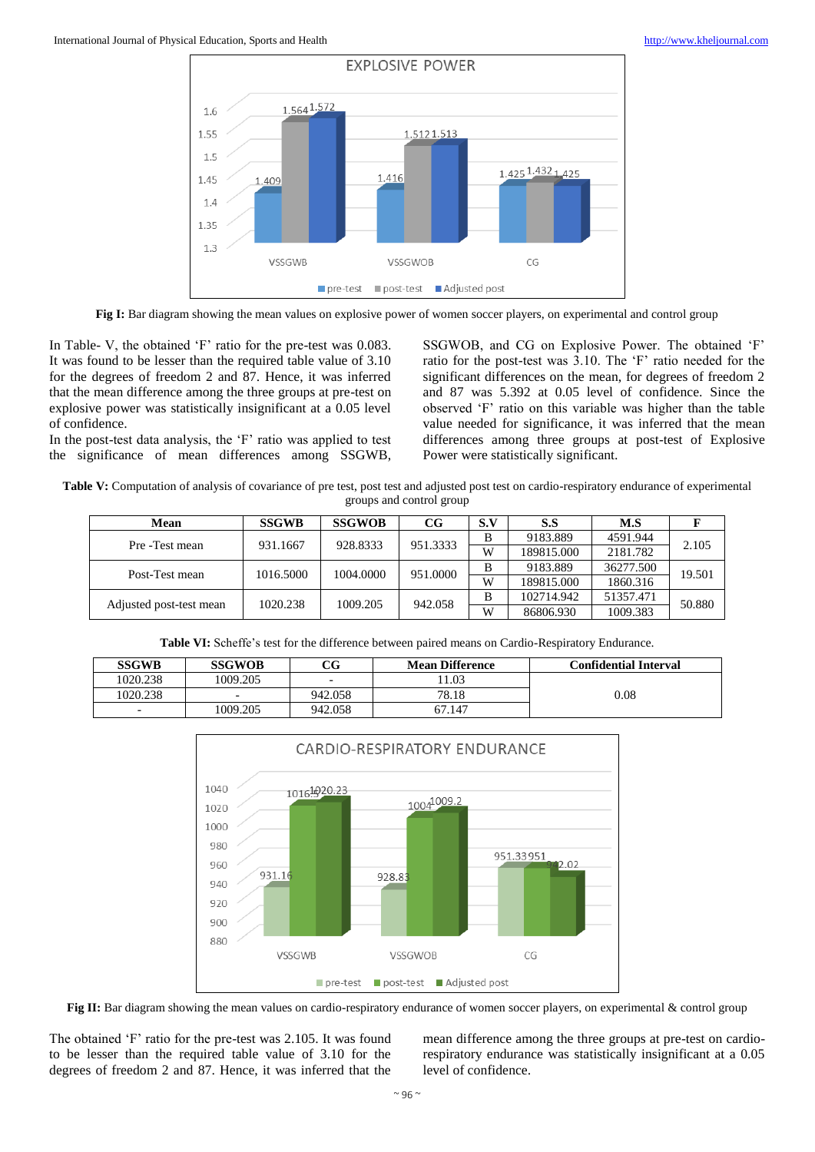

Fig I: Bar diagram showing the mean values on explosive power of women soccer players, on experimental and control group

In Table- V, the obtained 'F' ratio for the pre-test was 0.083. It was found to be lesser than the required table value of 3.10 for the degrees of freedom 2 and 87. Hence, it was inferred that the mean difference among the three groups at pre-test on explosive power was statistically insignificant at a 0.05 level of confidence.

In the post-test data analysis, the 'F' ratio was applied to test the significance of mean differences among SSGWB,

SSGWOB, and CG on Explosive Power. The obtained 'F' ratio for the post-test was 3.10. The 'F' ratio needed for the significant differences on the mean, for degrees of freedom 2 and 87 was 5.392 at 0.05 level of confidence. Since the observed 'F' ratio on this variable was higher than the table value needed for significance, it was inferred that the mean differences among three groups at post-test of Explosive Power were statistically significant.

**Table V:** Computation of analysis of covariance of pre test, post test and adjusted post test on cardio-respiratory endurance of experimental groups and control group

| Mean                    | <b>SSGWB</b> | <b>SSGWOB</b> | $_{\rm CG}$ | S.V | S.S        | M.S       |        |
|-------------------------|--------------|---------------|-------------|-----|------------|-----------|--------|
| Pre -Test mean          | 931.1667     | 928.8333      | 951.3333    | B   | 9183.889   | 4591.944  | 2.105  |
|                         |              |               |             | W   | 189815.000 | 2181.782  |        |
| Post-Test mean          | 1016.5000    | 1004.0000     | 951.0000    | B   | 9183.889   | 36277.500 | 19.501 |
|                         |              |               |             | W   | 189815.000 | 1860.316  |        |
|                         |              | 1009.205      | 942.058     | B   | 102714.942 | 51357.471 | 50.880 |
| Adjusted post-test mean | 1020.238     |               |             | W   | 86806.930  | 1009.383  |        |

**Table VI:** Scheffe's test for the difference between paired means on Cardio-Respiratory Endurance.

| <b>SSGWB</b>             | <b>SSGWOB</b>            | CG                       | <b>Mean Difference</b> | <b>Confidential Interval</b> |
|--------------------------|--------------------------|--------------------------|------------------------|------------------------------|
| 1020.238                 | 1009.205                 | $\overline{\phantom{0}}$ | 1.03                   |                              |
| 1020.238                 | $\overline{\phantom{0}}$ | 942.058                  | 78.18                  | 0.08                         |
| $\overline{\phantom{0}}$ | 1009.205                 | 942.058                  | 67.147                 |                              |



Fig II: Bar diagram showing the mean values on cardio-respiratory endurance of women soccer players, on experimental & control group

The obtained 'F' ratio for the pre-test was 2.105. It was found to be lesser than the required table value of 3.10 for the degrees of freedom 2 and 87. Hence, it was inferred that the

mean difference among the three groups at pre-test on cardiorespiratory endurance was statistically insignificant at a 0.05 level of confidence.